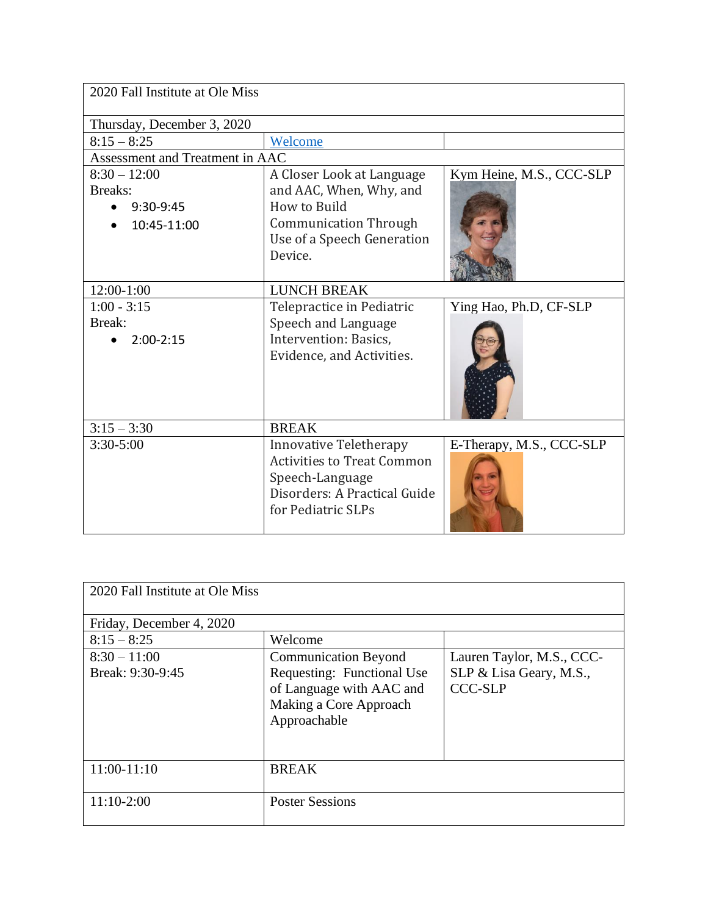| 2020 Fall Institute at Ole Miss |                                   |                          |  |
|---------------------------------|-----------------------------------|--------------------------|--|
| Thursday, December 3, 2020      |                                   |                          |  |
| $8:15 - 8:25$                   | Welcome                           |                          |  |
| Assessment and Treatment in AAC |                                   |                          |  |
| $8:30 - 12:00$                  | A Closer Look at Language         | Kym Heine, M.S., CCC-SLP |  |
| Breaks:                         | and AAC, When, Why, and           |                          |  |
| $9:30-9:45$                     | How to Build                      |                          |  |
| 10:45-11:00                     | <b>Communication Through</b>      |                          |  |
|                                 | Use of a Speech Generation        |                          |  |
|                                 | Device.                           |                          |  |
|                                 |                                   |                          |  |
| 12:00-1:00                      | <b>LUNCH BREAK</b>                |                          |  |
| $1:00 - 3:15$                   | Telepractice in Pediatric         | Ying Hao, Ph.D, CF-SLP   |  |
| Break:                          | Speech and Language               |                          |  |
| $2:00-2:15$                     | Intervention: Basics,             |                          |  |
|                                 | Evidence, and Activities.         |                          |  |
|                                 |                                   |                          |  |
|                                 |                                   |                          |  |
|                                 |                                   |                          |  |
| $3:15 - 3:30$                   | <b>BREAK</b>                      |                          |  |
| $3:30 - 5:00$                   | <b>Innovative Teletherapy</b>     | E-Therapy, M.S., CCC-SLP |  |
|                                 | <b>Activities to Treat Common</b> |                          |  |
|                                 | Speech-Language                   |                          |  |
|                                 | Disorders: A Practical Guide      |                          |  |
|                                 | for Pediatric SLPs                |                          |  |
|                                 |                                   |                          |  |

| 2020 Fall Institute at Ole Miss    |                                                                                                                                 |                                                                        |
|------------------------------------|---------------------------------------------------------------------------------------------------------------------------------|------------------------------------------------------------------------|
| Friday, December 4, 2020           |                                                                                                                                 |                                                                        |
| $8:15 - 8:25$                      | Welcome                                                                                                                         |                                                                        |
| $8:30 - 11:00$<br>Break: 9:30-9:45 | <b>Communication Beyond</b><br>Requesting: Functional Use<br>of Language with AAC and<br>Making a Core Approach<br>Approachable | Lauren Taylor, M.S., CCC-<br>SLP & Lisa Geary, M.S.,<br><b>CCC-SLP</b> |
| 11:00-11:10                        | <b>BREAK</b>                                                                                                                    |                                                                        |
| $11:10-2:00$                       | <b>Poster Sessions</b>                                                                                                          |                                                                        |